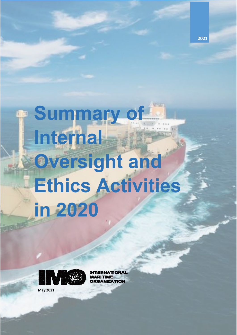**P** Summary of **Internal** Oversight and **Ethics Activities** in 2020

2021



**UNATIONAL RITIME GANIZATION** 

**May 2021**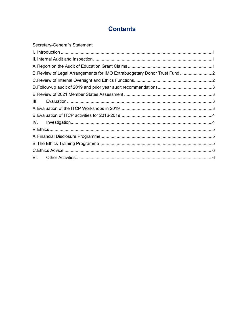# **Contents**

| B. Review of Legal Arrangements for IMO Extrabudgetary Donor Trust Fund |
|-------------------------------------------------------------------------|
|                                                                         |
|                                                                         |
|                                                                         |
|                                                                         |
|                                                                         |
|                                                                         |
|                                                                         |
|                                                                         |
|                                                                         |
|                                                                         |
|                                                                         |
|                                                                         |
|                                                                         |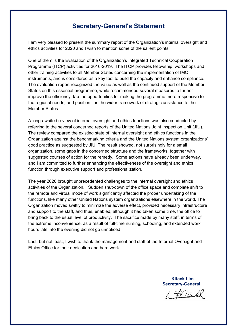### **Secretary-General's Statement**

I am very pleased to present the summary report of the Organization's internal oversight and ethics activities for 2020 and I wish to mention some of the salient points.

One of them is the Evaluation of the Organization's Integrated Technical Cooperation Programme (ITCP) activities for 2016-2019. The ITCP provides fellowship, workshops and other training activities to all Member States concerning the implementation of IMO instruments, and is considered as a key tool to build the capacity and enhance compliance. The evaluation report recognized the value as well as the continued support of the Member States on this essential programme, while recommended several measures to further improve the efficiency, tap the opportunities for making the programme more responsive to the regional needs, and position it in the wider framework of strategic assistance to the Member States.

A long-awaited review of internal oversight and ethics functions was also conducted by referring to the several concerned reports of the United Nations Joint Inspection Unit (JIU). The review compared the existing state of internal oversight and ethics functions in the Organization against the benchmarking criteria and the United Nations system organizations' good practice as suggested by JIU. The result showed, not surprisingly for a small organization, some gaps in the concerned structure and the frameworks, together with suggested courses of action for the remedy. Some actions have already been underway, and I am committed to further enhancing the effectiveness of the oversight and ethics function through executive support and professionalization.

The year 2020 brought unprecedented challenges to the internal oversight and ethics activities of the Organization. Sudden shut-down of the office space and complete shift to the remote and virtual mode of work significantly affected the proper undertaking of the functions, like many other United Nations system organizations elsewhere in the world. The Organization moved swiftly to minimize the adverse effect, provided necessary infrastructure and support to the staff, and thus, enabled, although it had taken some time, the office to bring back to the usual level of productivity. The sacrifice made by many staff, in terms of the extreme inconvenience, as a result of full-time nursing, schooling, and extended work hours late into the evening did not go unnoticed.

Last, but not least, I wish to thank the management and staff of the Internal Oversight and Ethics Office for their dedication and hard work.

> **Kitack Lim Secretary-General**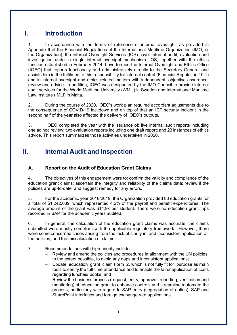### <span id="page-3-0"></span>**I. Introduction**

1. In accordance with the terms of reference of internal oversight, as provided in Appendix II of the Financial Regulations of the International Maritime Organization (IMO, or the Organization), the Internal Oversight Services (IOS) cover internal audit, evaluation and investigation under a single internal oversight mechanism. IOS, together with the ethics function established in February 2014, have formed the Internal Oversight and Ethics Office (IOEO) that reports functionally and administratively directly to the Secretary-General and assists him in the fulfilment of his responsibility for internal control (Financial Regulation 10.1) and in internal oversight and ethics related matters with independent, objective assurance, review and advice. In addition, IOEO was designated by the IMO Council to provide internal audit services for the World Maritime University (WMU) in Sweden and International Maritime Law Institute (IMLI) in Malta.

2. During the course of 2020, IOEO's work plan required accordant adjustments due to the consequence of COVID-19 lockdown and on top of that an ICT security incident in the second half of the year also affected the delivery of IOEO's outputs.

3. IOEO completed the year with the issuance of: five internal audit reports including one ad hoc review; two evaluation reports including one draft report; and 23 instances of ethics advice. This report summarizes those activities undertaken in 2020.

## <span id="page-3-1"></span>**II. Internal Audit and Inspection**

### <span id="page-3-2"></span>**A. Report on the Audit of Education Grant Claims**

4. The objectives of this engagement were to: confirm the validity and compliance of the education grant claims; ascertain the integrity and reliability of the claims data; review if the policies are up-to-date; and suggest remedy for any errors.

5. For the academic year 2018/2019, the Organization provided 83 education grants for a total of \$1,242,039, which represented 4.2% of the payroll and benefit expenditures. The average amount of the grant was \$14.9k per student. There were no education grant trips recorded in SAP for the academic years audited.

6. In general, the calculation of the education grant claims was accurate; the claims submitted were mostly compliant with the applicable regulatory framework. However, there were some concerned cases arising from the lack of clarity in, and inconsistent application of, the policies, and the miscalculation of claims.

- 7. Recommendations with high priority include:
	- Review and amend the policies and procedures in alignment with the UN policies, to the extent possible, to avoid any gaps and inconsistent applications;
	- − Update education grant claim Form 2, which is not fully fit for purpose as main tools to certify the full-time attendance and to enable the fairer application of costs regarding lunches/ books; and
	- − Review the business process (request, entry, approval, reporting, verification and monitoring) of education grant to enhance controls and streamline /automate the process, particularly with regard to SAP entry (segregation of duties), SAP and SharePoint interfaces and foreign exchange rate applications.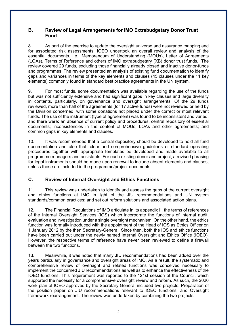#### <span id="page-4-0"></span>**B. Review of Legal Arrangements for IMO Extrabudgetary Donor Trust Fund**

8. As part of the exercise to update the oversight universe and assurance mapping and for associated risk assessments, IOEO undertook an overall review and analysis of the essential documents, i.e., Memorandum of Understanding (MOUs), Letter of Agreements (LOAs), Terms of Reference and others of IMO extrabudgetary (XB) donor trust funds. The review covered 29 funds, excluding those financially already closed and inactive donor-funds and programmes. The review presented an analysis of existing fund documentation to identify gaps and variances in terms of the key elements and clauses (45 clauses under the 11 key elements) commonly found in standard best practice agreements in the UN system.

9. For most funds, some documentation was available regarding the use of the funds but was not sufficiently extensive and had significant gaps in key clauses and large diversity in contents, particularly, on governance and oversight arrangements. Of the 29 funds reviewed, more than half of the agreements (for 17 active funds) were not reviewed or held by the Division concerned, with some donations not placed under the correct or most relevant funds. The use of the instrument (type of agreement) was found to be inconsistent and varied, and there were: an absence of current policy and procedures, central repository of essential documents; inconsistencies in the content of MOUs, LOAs and other agreements; and common gaps in key elements and clauses.

10. It was recommended that a central depository should be developed to hold all fund documentation and also that, clear and comprehensive guidelines or standard operating procedures together with appropriate templates be developed and made available to all programme managers and assistants. For each existing donor and project, a revised phrasing for legal instruments should be made upon renewal to include absent elements and clauses, unless those are included in the programme/project documents.

### <span id="page-4-1"></span>**C. Review of Internal Oversight and Ethics Functions**

11. This review was undertaken to identify and assess the gaps of the current oversight and ethics functions at IMO in light of the JIU recommendations and UN system standards/common practices; and set out reform solutions and associated action plans.

12. The Financial Regulations of IMO articulate in its appendix II, the terms of references of the Internal Oversight Services (IOS) which incorporate the functions of internal audit, evaluation and investigation under a single oversight mechanism. On the other hand, the ethics function was formally introduced with the appointment of the Head of IOS as Ethics Officer on 1 January 2012 by the then Secretary-General. Since then, both the IOS and ethics functions have been carried out under the newly named Internal Oversight and Ethics Office (IOEO). However, the respective terms of reference have never been reviewed to define a firewall between the two functions.

13. Meanwhile, it was noted that many JIU recommendations had been added over the years particularly in governance and oversight areas of IMO. As a result, the systematic and comprehensive review of oversight and related functions was conceived necessary to implement the concerned JIU recommendations as well as to enhance the effectiveness of the IOEO functions. This requirement was reported to the 121st session of the Council, which supported the necessity for a comprehensive oversight review and reform. As such, the 2020 work plan of IOEO approved by the Secretary-General included two projects: Preparation of the position paper on JIU recommendations relevant to IOEO functions; and Oversight framework rearrangement. The review was undertaken by combining the two projects.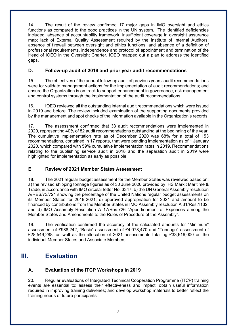14. The result of the review confirmed 17 major gaps in IMO oversight and ethics functions as compared to the good practices in the UN system. The identified deficiencies included: absence of accountability framework; insufficient coverage in oversight assurance map; lack of External Quality Assessment required by the Institute of Internal Auditors; absence of firewall between oversight and ethics functions; and absence of a definition of professional requirements, independence and protocol of appointment and termination of the Head of IOEO in the Oversight Charter. IOEO mapped out a plan to address the identified gaps.

#### <span id="page-5-0"></span>**D. Follow-up audit of 2019 and prior year audit recommendations**

15. The objectives of the annual follow-up audit of previous years' audit recommendations were to: validate management actions for the implementation of audit recommendations; and ensure the Organization is on track to support enhancement in governance, risk management and control systems through the implementation of the audit recommendations.

16. IOEO reviewed all the outstanding internal audit recommendations which were issued in 2019 and before. The review included examination of the supporting documents provided by the management and spot checks of the information available in the Organization's records.

17. The assessment confirmed that 33 audit recommendations were implemented in 2020, representing 40% of 82 audit recommendations outstanding at the beginning of the year. The cumulative implementation rate as of December 2020 was 68% for a total of 153 recommendations, contained in 17 reports, that were pending implementation as of 1 January 2020, which compared with 59% cumulative implementation rates in 2019. Recommendations relating to the publishing service audit in 2018 and the separation audit in 2019 were highlighted for implementation as early as possible.

#### <span id="page-5-1"></span>**E. Review of 2021 Member States Assessment**

18. The 2021 regular budget assessment for the Member States was reviewed based on: a) the revised shipping tonnage figures as of 30 June 2020 provided by IHS Markit Maritime & Trade, in accordance with IMO circular letter No. 3347; b) the UN General Assembly resolution A/RES/73/721 showing the percentage of the United Nations regular budget assessments on its Member States for 2019-2021; c) approved appropriation for 2021 and amount to be financed by contributions from the Member States in IMO Assembly resolution A 31/Res.1132; and d) IMO Assembly Resolution A 17/Res.726 "Apportionment of Expenses among the Member States and Amendments to the Rules of Procedure of the Assembly".

19. The verification confirmed the accuracy of the calculated amounts for "Minimum" assessment of £988,242, "Basic" assessment of £4,078,470 and "Tonnage" assessment of £28,549,288, as well as the allocation of 2021 assessments totalling £33,616,000 on the individual Member States and Associate Members.

### **III. Evaluation**

### <span id="page-5-3"></span><span id="page-5-2"></span>**A. Evaluation of the ITCP Workshops in 2019**

20. Regular evaluations of Integrated Technical Cooperation Programme (ITCP) training events are essential to: assess their effectiveness and impact; obtain useful information required in improving training deliveries; and develop workshop materials to better reflect the training needs of future participants.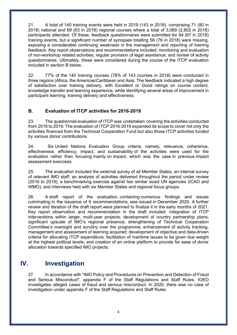21. A total of 140 training events were held in 2019 (143 in 2018), comprising 71 (80 in 2018) national and 69 (63 in 2018) regional courses where a total of 3,069 (2,802 in 2018) participants attended. Of these, feedback questionnaires were submitted for 84 (67 in 2018) training events, but a significant number of synopses totalling 56 (76 in 2018) were missing, exposing a considerable continuing weakness in the management and reporting of training feedback. Key report observations and recommendations included: monitoring and evaluation of non-workshop related activities; regular provision of legal assistance; and review of activity questionnaires. Ultimately, these were considered during the course of the ITCP evaluation included in section B below.

22. 77% of the 140 training courses (78% of 143 courses in 2018) were conducted in three regions (Africa, the Americas/Caribbean and Asia. The feedback indicated a high degree of satisfaction over training delivery, with Excellent or Good ratings on course content, knowledge transfer and learning experience, while identifying several areas of improvement in participant learning, training delivery and effectiveness.

### <span id="page-6-0"></span>**B. Evaluation of ITCP activities for 2016-2019**

23. The quadrennial evaluation of ITCP was undertaken covering the activities conducted from 2016 to 2019. The evaluation of ITCP 2016-2019 expanded its scope to cover not only the activities financed from the Technical Cooperation Fund but also those ITCP activities funded by various donor contributions.

24. Six United Nations Evaluation Group criteria, namely, relevance, coherence, effectiveness, efficiency, impact, and sustainability of the activities were used for the evaluation rather than focusing mainly on impact, which was the case in previous impact assessment exercises.

25. The evaluation included the external survey of all Member States; an internal survey of relevant IMO staff; an analysis of activities delivered throughout the period under review (2016 to 2019); a benchmarking exercise against two similar sized UN agencies (ICAO and WMO); and interviews held with six Member States and regional focus groups.

26. A draft report of the evaluation, containing numerous findings and issues culminating in the issuance of 9 recommendations, was issued in December 2020. A further review and iteration of the draft report were planned to finalize it in the early months of 2021. Key report observation and recommendation in the draft included: integration of ITCP interventions within larger, multi-year projects; development of country partnership plans; significant upscale of IMO's regional presence; strengthening of Technical Cooperation Committee's oversight and scrutiny over the programme; enhancement of activity tracking, management and assessment of learning acquired; development of objective and data-driven criteria for allocating ITCP expenditure; facilitation of maritime issues to be given due weight at the highest political levels; and creation of an online platform to provide for ease of donor allocation towards specified IMO projects.

### **IV. Investigation**

<span id="page-6-1"></span>27. In accordance with "IMO Policy and Procedures on Prevention and Detection of Fraud and Serious Misconduct", appendix F of the Staff Regulations and Staff Rules, IOEO investigates alleged cases of fraud and serious misconduct. In 2020, there was no case of investigation under appendix F of the Staff Regulations and Staff Rules.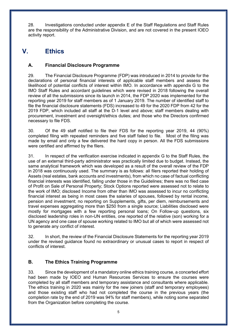28. Investigations conducted under appendix E of the Staff Regulations and Staff Rules are the responsibility of the Administrative Division, and are not covered in the present IOEO activity report.

# <span id="page-7-0"></span>**V. Ethics**

### <span id="page-7-1"></span>**A. Financial Disclosure Programme**

29. The Financial Disclosure Programme (FDP) was introduced in 2014 to provide for the declarations of personal financial interests of applicable staff members and assess the likelihood of potential conflicts of interest within IMO. In accordance with appendix G to the IMO Staff Rules and accordant guidelines which were revised in 2018 following the overall review of all the submissions since its launch in 2014, the FDP 2020 was implemented for the reporting year 2019 for staff members as of 1 January 2019. The number of identified staff to file the financial disclosure statements (FDS) increased to 49 for the 2020 FDP from 42 for the 2019 FDP, which included all staff at the D-1 level and above; staff members dealing with procurement, investment and oversight/ethics duties; and those who the Directors confirmed necessary to file FDS.

30. Of the 49 staff notified to file their FDS for the reporting year 2019, 44 (90%) completed filing with repeated reminders and five staff failed to file. Most of the filing was made by email and only a few delivered the hard copy in person. All the FDS submissions were certified and affirmed by the filers.

31. In respect of the verification exercise indicated in appendix G to the Staff Rules, the use of an external third-party administrator was practically limited due to budget. Instead, the same analytical framework which was developed as a result of the overall review of the FDP in 2018 was continuously used. The summary is as follows: all filers reported their holding of Assets (real estates, bank accounts and investments), from which no case of factual conflicting financial interests was identified, falling under those in the Guidelines; there was no filed case of Profit on Sale of Personal Property; Stock Options reported were assessed not to relate to the work of IMO; disclosed Income from other than IMO was assessed to incur no conflicting financial interest as being in most cases the salaries of spouses, followed by rental income, pension and investment; no reporting on Supplements, gifts, per diem, reimbursements and travel expenses aggregating more than \$250 from a single source; Liabilities disclosed were mostly for mortgages with a few reporting personal loans; On Follow-up questions, six disclosed leadership roles in non-UN entities, one reported of the relative (son) working for a UN agency and one case of spouse working related to IMO but all of which were assessed not to generate any conflict of interest.

32. In short, the review of the Financial Disclosure Statements for the reporting year 2019 under the revised guidance found no extraordinary or unusual cases to report in respect of conflicts of interest.

### <span id="page-7-2"></span>**B. The Ethics Training Programme**

33. Since the development of a mandatory online ethics training course, a concerted effort had been made by IOEO and Human Resources Services to ensure the courses were completed by all staff members and temporary assistance and consultants where applicable. The ethics training in 2020 was mainly for the new joiners (staff and temporary employees) and those existing staff who had not completed the course in the previous years (the completion rate by the end of 2019 was 94% for staff members), while noting some separated from the Organization before completing the course.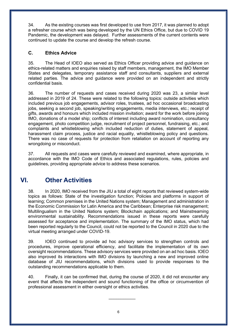34. As the existing courses was first developed to use from 2017, it was planned to adopt a refresher course which was being developed by the UN Ethics Office, but due to COVID 19 Pandemic, the development was delayed. Further assessments of the current contents were continued to update the course and develop the refresh course.

#### <span id="page-8-0"></span>**C. Ethics Advice**

35. The Head of IOEO also served as Ethics Officer providing advice and guidance on ethics-related matters and enquiries raised by staff members, management, the IMO Member States and delegates, temporary assistance staff and consultants, suppliers and external related parties. The advice and guidance were provided on an independent and strictly confidential basis.

36. The number of requests and cases received during 2020 was 23, a similar level addressed in 2019 of 24. These were related to the following topics: outside activities which included previous job engagements, advisor roles, trustees, ad hoc occasional broadcasting jobs, seeking a second job, speaking/writing engagements, media interviews, etc.; receipt of gifts, awards and honours which included mission invitation; award for the work before joining IMO, donations of a model ship; conflicts of interest including award nomination, consultancy engagement, photo competition judge, recruitment of project personnel, fundraising, etc.; and complaints and whistleblowing which included reduction of duties, statement of appeal, harassment claim process, justice and racial equality, whistleblowing policy and questions. There was no case of requests for protection from retaliation on account of reporting any wrongdoing or misconduct.

37. All requests and cases were carefully reviewed and examined, where appropriate, in accordance with the IMO Code of Ethics and associated regulations, rules, policies and guidelines, providing appropriate advice to address these scenarios.

# **VI. Other Activities**

<span id="page-8-1"></span>38. In 2020, IMO received from the JIU a total of eight reports that reviewed system-wide topics as follows: State of the investigation function; Policies and platforms in support of learning; Common premises in the United Nations system; Management and administration in the Economic Commission for Latin America and the Caribbean; Enterprise risk management; Multilingualism in the United Nations system; Blockchain applications; and Mainstreaming environmental sustainability. Recommendations issued in these reports were carefully assessed for acceptance and implementation. The summary of the IMO status, which had been reported regularly to the Council, could not be reported to the Council in 2020 due to the virtual meeting arranged under COVID-19.

39. IOEO continued to provide ad hoc advisory services to strengthen controls and procedures, improve operational efficiency, and facilitate the implementation of its own oversight recommendations. These advisory services were provided on an ad hoc basis. IOEO also improved its interactions with IMO divisions by launching a new and improved online database of JIU recommendations, which divisions used to provide responses to the outstanding recommendations applicable to them.

40. Finally, it can be confirmed that, during the course of 2020, it did not encounter any event that affects the independent and sound functioning of the office or circumvention of professional assessment in either oversight or ethics activities.

 $\overline{\phantom{a}}$  , where  $\overline{\phantom{a}}$